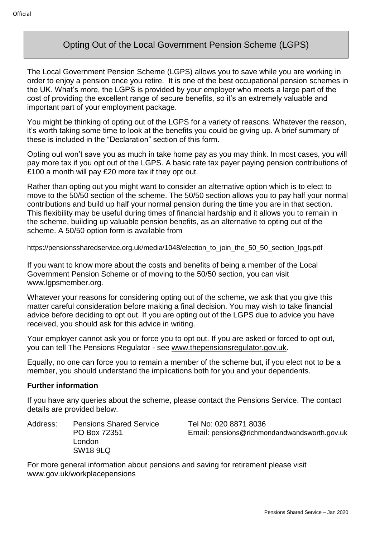# Opting Out of the Local Government Pension Scheme (LGPS)

The Local Government Pension Scheme (LGPS) allows you to save while you are working in order to enjoy a pension once you retire. It is one of the best occupational pension schemes in the UK. What's more, the LGPS is provided by your employer who meets a large part of the cost of providing the excellent range of secure benefits, so it's an extremely valuable and important part of your employment package.

You might be thinking of opting out of the LGPS for a variety of reasons. Whatever the reason, it's worth taking some time to look at the benefits you could be giving up. A brief summary of these is included in the "Declaration" section of this form.

Opting out won't save you as much in take home pay as you may think. In most cases, you will pay more tax if you opt out of the LGPS. A basic rate tax payer paying pension contributions of £100 a month will pay £20 more tax if they opt out.

Rather than opting out you might want to consider an alternative option which is to elect to move to the 50/50 section of the scheme. The 50/50 section allows you to pay half your normal contributions and build up half your normal pension during the time you are in that section. This flexibility may be useful during times of financial hardship and it allows you to remain in the scheme, building up valuable pension benefits, as an alternative to opting out of the scheme. A 50/50 option form is available from

https://pensionssharedservice.org.uk/media/1048/election\_to\_join\_the\_50\_50\_section\_lpgs.pdf

If you want to know more about the costs and benefits of being a member of the Local Government Pension Scheme or of moving to the 50/50 section, you can visit www.lgpsmember.org.

Whatever your reasons for considering opting out of the scheme, we ask that you give this matter careful consideration before making a final decision. You may wish to take financial advice before deciding to opt out. If you are opting out of the LGPS due to advice you have received, you should ask for this advice in writing.

Your employer cannot ask you or force you to opt out. If you are asked or forced to opt out, you can tell The Pensions Regulator - see [www.thepensionsregulator.gov.uk.](http://www.thepensionsregulator.gov.uk/)

Equally, no one can force you to remain a member of the scheme but, if you elect not to be a member, you should understand the implications both for you and your dependents.

# **Further information**

If you have any queries about the scheme, please contact the Pensions Service. The contact details are provided below.

Address: Pensions Shared Service Tel No: 020 8871 8036 London SW18 9LQ

PO Box 72351 Email: pensions@richmondandwandsworth.gov.uk

For more general information about pensions and saving for retirement please visit www.gov.uk/workplacepensions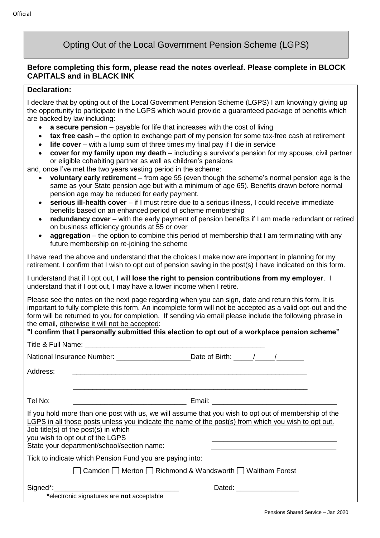# Opting Out of the Local Government Pension Scheme (LGPS)

# **Before completing this form, please read the notes overleaf. Please complete in BLOCK CAPITALS and in BLACK INK**

#### **Declaration:**

I declare that by opting out of the Local Government Pension Scheme (LGPS) I am knowingly giving up the opportunity to participate in the LGPS which would provide a guaranteed package of benefits which are backed by law including:

- **a secure pension** payable for life that increases with the cost of living
- **tax free cash** the option to exchange part of my pension for some tax-free cash at retirement
- **life cover** with a lump sum of three times my final pay if I die in service
- **cover for my family upon my death** including a survivor's pension for my spouse, civil partner or eligible cohabiting partner as well as children's pensions

and, once I've met the two years vesting period in the scheme:

- **voluntary early retirement** from age 55 (even though the scheme's normal pension age is the same as your State pension age but with a minimum of age 65). Benefits drawn before normal pension age may be reduced for early payment.
- **serious ill-health cover** if I must retire due to a serious illness, I could receive immediate benefits based on an enhanced period of scheme membership
- **redundancy cover** with the early payment of pension benefits if I am made redundant or retired on business efficiency grounds at 55 or over
- **aggregation** the option to combine this period of membership that I am terminating with any future membership on re-joining the scheme

I have read the above and understand that the choices I make now are important in planning for my retirement. I confirm that I wish to opt out of pension saving in the post(s) I have indicated on this form.

I understand that if I opt out, I will **lose the right to pension contributions from my employer**. I understand that if I opt out, I may have a lower income when I retire.

Please see the notes on the next page regarding when you can sign, date and return this form. It is important to fully complete this form. An incomplete form will not be accepted as a valid opt-out and the form will be returned to you for completion. If sending via email please include the following phrase in the email, otherwise it will not be accepted:

# **"I confirm that I personally submitted this election to opt out of a workplace pension scheme"**

| National Insurance Number: _________________________Date of Birth: ______________                                                                                                                                                                                                                                                    |                             |
|--------------------------------------------------------------------------------------------------------------------------------------------------------------------------------------------------------------------------------------------------------------------------------------------------------------------------------------|-----------------------------|
| Address:                                                                                                                                                                                                                                                                                                                             |                             |
|                                                                                                                                                                                                                                                                                                                                      |                             |
| Tel No:<br><u> 2000 - Jan James James Barnett, fransk politik (d. 18</u>                                                                                                                                                                                                                                                             |                             |
| If you hold more than one post with us, we will assume that you wish to opt out of membership of the<br>LGPS in all those posts unless you indicate the name of the post(s) from which you wish to opt out.<br>Job title(s) of the post(s) in which<br>you wish to opt out of the LGPS<br>State your department/school/section name: |                             |
| Tick to indicate which Pension Fund you are paying into:                                                                                                                                                                                                                                                                             |                             |
| ◯ Camden ◯ Merton ◯ Richmond & Wandsworth ◯ Waltham Forest                                                                                                                                                                                                                                                                           |                             |
| *electronic signatures are not acceptable                                                                                                                                                                                                                                                                                            | Dated: ____________________ |